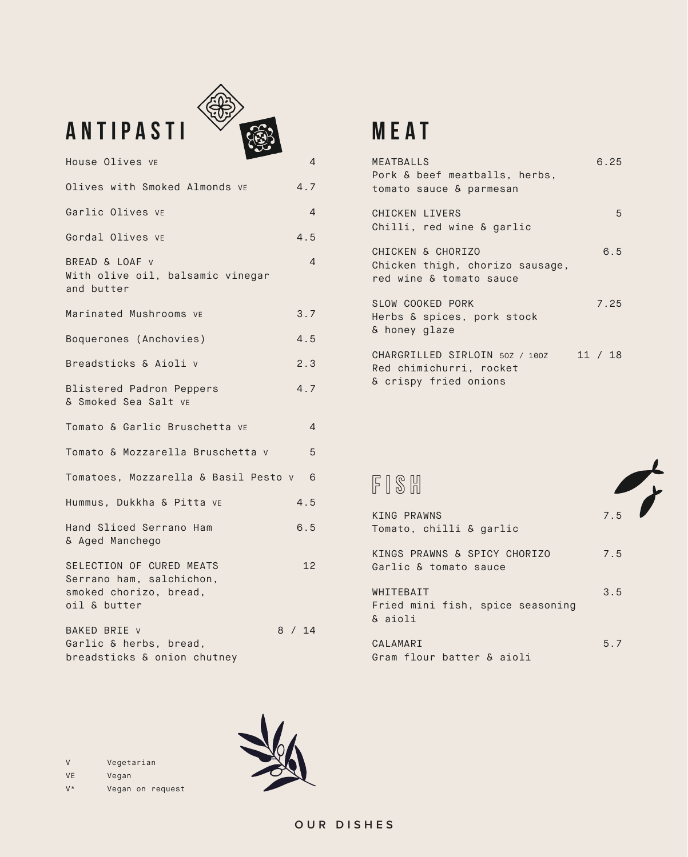| <b>ANTIPASTI</b>                                                                               |                |
|------------------------------------------------------------------------------------------------|----------------|
| House Olives VE                                                                                | 4              |
| Olives with Smoked Almonds ve                                                                  | 4.7            |
| Garlic Olives ve                                                                               | 4              |
| Gordal Olives ve                                                                               | 4.5            |
| BREAD & LOAF v<br>With olive oil, balsamic vinegar<br>and butter                               | 4              |
| Marinated Mushrooms ve                                                                         | 3.7            |
| Boquerones (Anchovies)                                                                         | 4.5            |
| Breadsticks & Aioli v                                                                          | 2.3            |
| <b>Blistered Padron Peppers</b><br>& Smoked Sea Salt vE                                        | 4.7            |
| Tomato & Garlic Bruschetta ve                                                                  | $\overline{4}$ |
| Tomato & Mozzarella Bruschetta v                                                               | 5              |
| Tomatoes, Mozzarella & Basil Pesto v 6                                                         |                |
| Hummus, Dukkha & Pitta ve                                                                      | 4.5            |
| Hand Sliced Serrano Ham<br>& Aged Manchego                                                     | 6.5            |
| SELECTION OF CURED MEATS<br>Serrano ham, salchichon,<br>smoked chorizo, bread,<br>oil & butter | 12             |
| BAKED BRIE v<br>Garlic & herbs, bread,<br>breadsticks & onion chutney                          | 8 / 14         |

念

## **MEAT**

| MEATBALLS<br>Pork & beef meatballs, herbs,<br>tomato sauce & parmesan              | 6.25    |
|------------------------------------------------------------------------------------|---------|
| CHICKEN LIVERS<br>Chilli, red wine & garlic                                        | 5       |
| CHICKEN & CHORIZO<br>Chicken thigh, chorizo sausage,<br>red wine & tomato sauce    | 6.5     |
| SLOW COOKED PORK<br>Herbs & spices, pork stock<br>& honey glaze                    | 7.25    |
| CHARGRILLED SIRLOIN 50Z / 100Z<br>Red chimichurri, rocket<br>& crispy fried onions | 11 / 18 |

## fish

| KING PRAWNS<br>Tomato, chilli & garlic                | 7.5 |
|-------------------------------------------------------|-----|
| KINGS PRAWNS & SPICY CHORIZO<br>Garlic & tomato sauce | 7.5 |
| WHITEBAIT<br>Fried mini fish, spice seasoning         | 3.5 |
| & aioli<br>CALAMARI<br>Gram flour batter & aioli      | 5.7 |

V Vegetarian VE Vegan V\* Vegan on request